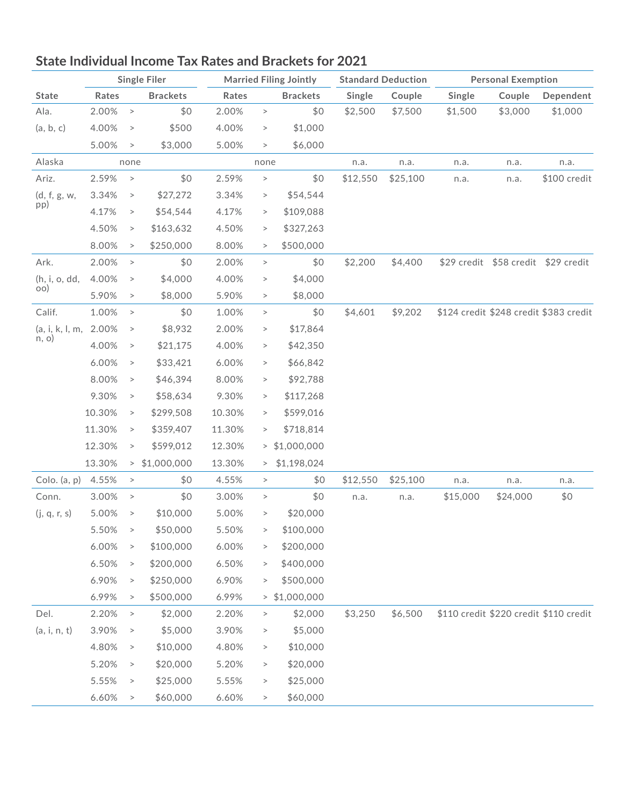

## **State Individual Income Tax Rates and Brackets for 2021**

|                          |        |           | <b>Single Filer</b> |        |        | <b>Married Filing Jointly</b> | <b>Standard Deduction</b> |          | <b>Personal Exemption</b> |                                     |                                        |  |
|--------------------------|--------|-----------|---------------------|--------|--------|-------------------------------|---------------------------|----------|---------------------------|-------------------------------------|----------------------------------------|--|
| <b>State</b>             | Rates  |           | <b>Brackets</b>     | Rates  |        | <b>Brackets</b>               | Single                    | Couple   | Single                    | Couple                              | Dependent                              |  |
| Ala.                     | 2.00%  | $\, >$    | \$0                 | 2.00%  | $\, >$ | \$0                           | \$2,500                   | \$7,500  | \$1,500                   | \$3,000                             | \$1,000                                |  |
| (a, b, c)                | 4.00%  | $\, > \,$ | \$500               | 4.00%  | $\, >$ | \$1,000                       |                           |          |                           |                                     |                                        |  |
|                          | 5.00%  | $\, > \,$ | \$3,000             | 5.00%  | $\, >$ | \$6,000                       |                           |          |                           |                                     |                                        |  |
| Alaska                   |        | none      |                     |        | none   |                               | n.a.                      | n.a.     | n.a.                      | n.a.                                | n.a.                                   |  |
| Ariz.                    | 2.59%  | $\, >$    | \$0                 | 2.59%  | $\, >$ | \$0                           | \$12,550                  | \$25,100 | n.a.                      | n.a.                                | \$100 credit                           |  |
| (d, f, g, w,             | 3.34%  | $\, >$    | \$27,272            | 3.34%  | $\, >$ | \$54,544                      |                           |          |                           |                                     |                                        |  |
| pp)                      | 4.17%  | $\, >$    | \$54,544            | 4.17%  | $\, >$ | \$109,088                     |                           |          |                           |                                     |                                        |  |
|                          | 4.50%  | $\, >$    | \$163,632           | 4.50%  | $\, >$ | \$327,263                     |                           |          |                           |                                     |                                        |  |
|                          | 8.00%  | $\, >$    | \$250,000           | 8.00%  | $\, >$ | \$500,000                     |                           |          |                           |                                     |                                        |  |
| Ark.                     | 2.00%  | $\, >$    | \$0                 | 2.00%  | $\, >$ | \$0                           | \$2,200                   | \$4,400  |                           | \$29 credit \$58 credit \$29 credit |                                        |  |
| (h, i, o, dd,            | 4.00%  | $\, >$    | \$4,000             | 4.00%  | $\, >$ | \$4,000                       |                           |          |                           |                                     |                                        |  |
| OO                       | 5.90%  | $\, >$    | \$8,000             | 5.90%  | $\, >$ | \$8,000                       |                           |          |                           |                                     |                                        |  |
| Calif.                   | 1.00%  | $\, >$    | \$0                 | 1.00%  | $\, >$ | \$0                           | \$4,601                   | \$9,202  |                           |                                     | \$124 credit \$248 credit \$383 credit |  |
| (a, i, k, l, m,<br>n, o) | 2.00%  | $\, >$    | \$8,932             | 2.00%  | $\, >$ | \$17,864                      |                           |          |                           |                                     |                                        |  |
|                          | 4.00%  | $\, >$    | \$21,175            | 4.00%  | $\,>$  | \$42,350                      |                           |          |                           |                                     |                                        |  |
|                          | 6.00%  | $\, >$    | \$33,421            | 6.00%  | $\, >$ | \$66,842                      |                           |          |                           |                                     |                                        |  |
|                          | 8.00%  | $\, >$    | \$46,394            | 8.00%  | $\, >$ | \$92,788                      |                           |          |                           |                                     |                                        |  |
|                          | 9.30%  | $\, >$    | \$58,634            | 9.30%  | $\,>$  | \$117,268                     |                           |          |                           |                                     |                                        |  |
|                          | 10.30% | $\, >$    | \$299,508           | 10.30% | $\, >$ | \$599,016                     |                           |          |                           |                                     |                                        |  |
|                          | 11.30% | $\, >$    | \$359,407           | 11.30% | $\, >$ | \$718,814                     |                           |          |                           |                                     |                                        |  |
|                          | 12.30% | $\,>$     | \$599,012           | 12.30% | >      | \$1,000,000                   |                           |          |                           |                                     |                                        |  |
|                          | 13.30% | $\,>$     | \$1,000,000         | 13.30% | $\,>$  | \$1,198,024                   |                           |          |                           |                                     |                                        |  |
| Colo. (a, p)             | 4.55%  | $\,>$     | \$0                 | 4.55%  | $\, >$ | \$0                           | \$12,550                  | \$25,100 | n.a.                      | n.a.                                | n.a.                                   |  |
| Conn.                    | 3.00%  | $\, >$    | \$0                 | 3.00%  | $\, >$ | \$0                           | n.a.                      | n.a.     | \$15,000                  | \$24,000                            | \$0                                    |  |
| (j, q, r, s)             | 5.00%  | $\, >$    | \$10,000            | 5.00%  | $\, >$ | \$20,000                      |                           |          |                           |                                     |                                        |  |
|                          | 5.50%  | $\, > \,$ | \$50,000            | 5.50%  | $\,$   | \$100,000                     |                           |          |                           |                                     |                                        |  |
|                          | 6.00%  | $\, >$    | \$100,000           | 6.00%  | $\, >$ | \$200,000                     |                           |          |                           |                                     |                                        |  |
|                          | 6.50%  | $\, >$    | \$200,000           | 6.50%  | $\, >$ | \$400,000                     |                           |          |                           |                                     |                                        |  |
|                          | 6.90%  | $\, >$    | \$250,000           | 6.90%  | $\, >$ | \$500,000                     |                           |          |                           |                                     |                                        |  |
|                          | 6.99%  | $\, >$    | \$500,000           | 6.99%  |        | $>$ \$1,000,000               |                           |          |                           |                                     |                                        |  |
| Del.                     | 2.20%  | $\, >$    | \$2,000             | 2.20%  | $\, >$ | \$2,000                       | \$3,250                   | \$6,500  |                           |                                     | \$110 credit \$220 credit \$110 credit |  |
| (a, i, n, t)             | 3.90%  | $\, >$    | \$5,000             | 3.90%  | $\, >$ | \$5,000                       |                           |          |                           |                                     |                                        |  |
|                          | 4.80%  | $\, >$    | \$10,000            | 4.80%  | $\, >$ | \$10,000                      |                           |          |                           |                                     |                                        |  |
|                          | 5.20%  | $\, >$    | \$20,000            | 5.20%  | $\, >$ | \$20,000                      |                           |          |                           |                                     |                                        |  |
|                          | 5.55%  | $\, >$    | \$25,000            | 5.55%  | $\, >$ | \$25,000                      |                           |          |                           |                                     |                                        |  |
|                          | 6.60%  | $\, >$    | \$60,000            | 6.60%  | $\, >$ | \$60,000                      |                           |          |                           |                                     |                                        |  |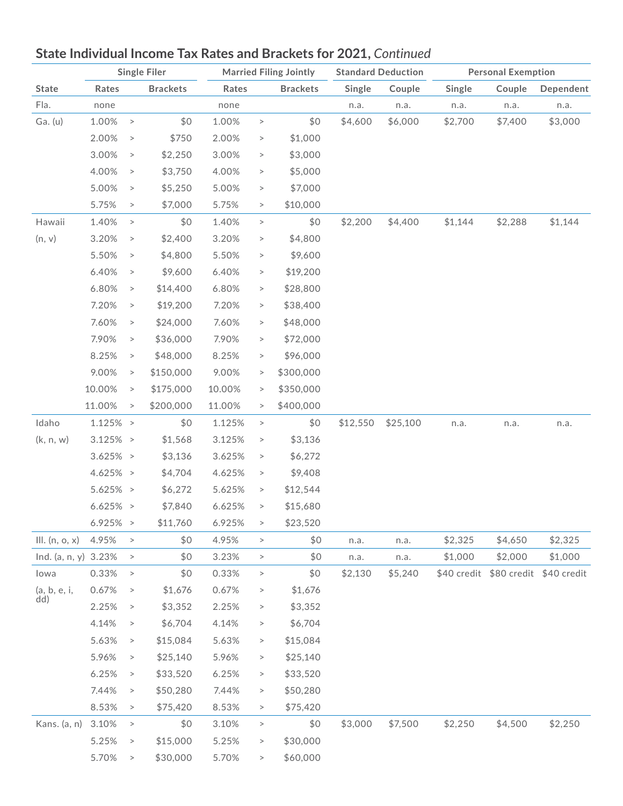

### Fla. none none n.a. n.a. n.a. n.a. n.a. Ga. (u) 1.00% > \$0 1.00% > \$0 \$4,600 \$6,000 \$2,700 \$7,400 \$3,000 2.00% > \$750 2.00% > \$1,000 3.00% > \$2,250 3.00% > \$3,000 4.00% > \$3,750 4.00% > \$5,000 5.00% > \$5,250 5.00% > \$7,000 5.75% > \$7,000 5.75% > \$10,000 Hawaii 1.40% > \$0 1.40% > \$0 \$2,200 \$4,400 \$1,144 \$2,288 \$1,144  $(n, v)$  3.20% > \$2,400 3.20% > \$4,800 5.50% > \$4,800 5.50% > \$9,600 6.40% > \$9,600 6.40% > \$19,200 6.80% > \$14,400 6.80% > \$28,800 7.20% > \$19,200 7.20% > \$38,400 7.60% > \$24,000 7.60% > \$48,000 7.90% > \$36,000 7.90% > \$72,000 8.25% > \$48,000 8.25% > \$96,000 9.00% > \$150,000 9.00% > \$300,000 10.00% > \$175,000 10.00% > \$350,000 11.00% > \$200,000 11.00% > \$400,000 Idaho 1.125% > \$0 1.125% > \$0 \$12,550 \$25,100 n.a. n.a. n.a.  $(k, n, w)$  3.125% > \$1,568 3.125% > \$3,136  $3.625\% >$  \$3,136  $3.625\% >$  \$6,272 4.625% > \$4,704 4.625% > \$9,408 5.625% > \$6,272 5.625% > \$12,544 6.625% > \$7,840 6.625% > \$15,680 6.925% > \$11,760 6.925% > \$23,520 Ill. (n, o, x) 4.95% > \$0 4.95% > \$0 n.a. n.a. \$2,325 \$4,650 \$2,325 Ind. (a, n, y) 3.23% > \$0 3.23% > \$0 n.a. n.a. \$1,000 \$2,000 \$1,000 Iowa 0.33% > \$0 0.33% > \$0 \$2,130 \$5,240 \$40 credit \$80 credit \$40 credit (a, b, e, i, dd) 0.67% >  $$1,676$  0.67% >  $$1,676$ 2.25% > \$3,352 2.25% > \$3,352 4.14% > \$6,704 4.14% > \$6,704 5.63% > \$15,084 5.63% > \$15,084 5.96% > \$25,140 5.96% > \$25,140 6.25% > \$33,520 6.25% > \$33,520 7.44% > \$50,280 7.44% > \$50,280 8.53% > \$75,420 8.53% > \$75,420 Kans. (a, n) 3.10% > \$0 3.10% > \$0 \$3,000 \$7,500 \$2,250 \$4,500 \$2,250 5.25% > \$15,000 5.25% > \$30,000 5.70% > \$30,000 5.70% > \$60,000 **Single Filer Married Filing Jointly Standard Deduction Personal Exemption State Rates Brackets Rates Brackets Single Couple Single Couple Dependent**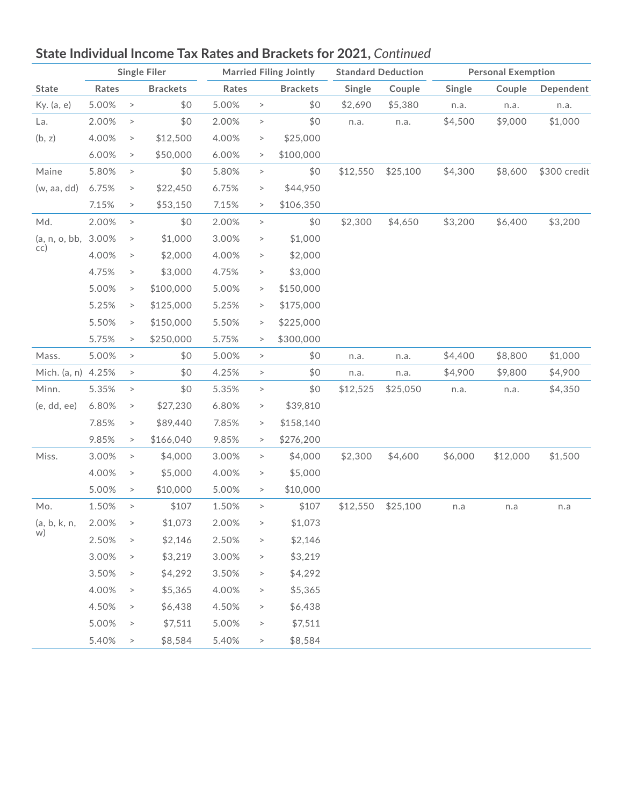

|                    | <b>Single Filer</b> |        |                 |       |          | <b>Married Filing Jointly</b> | <b>Standard Deduction</b> |          |         |          | <b>Personal Exemption</b> |  |
|--------------------|---------------------|--------|-----------------|-------|----------|-------------------------------|---------------------------|----------|---------|----------|---------------------------|--|
| <b>State</b>       | Rates               |        | <b>Brackets</b> | Rates |          | <b>Brackets</b>               | Single                    | Couple   | Single  | Couple   | Dependent                 |  |
| Ky. (a, e)         | 5.00%               | $\, >$ | \$0             | 5.00% | $\, >$   | \$0                           | \$2,690                   | \$5,380  | n.a.    | n.a.     | n.a.                      |  |
| La.                | 2.00%               | $\, >$ | \$0             | 2.00% | $\, >$   | \$0                           | n.a.                      | n.a.     | \$4,500 | \$9,000  | \$1,000                   |  |
| (b, z)             | 4.00%               | $\, >$ | \$12,500        | 4.00% | $\, >$   | \$25,000                      |                           |          |         |          |                           |  |
|                    | 6.00%               | $\, >$ | \$50,000        | 6.00% | $\, >$   | \$100,000                     |                           |          |         |          |                           |  |
| Maine              | 5.80%               | $\,>$  | \$0             | 5.80% | $\,$     | \$0                           | \$12,550                  | \$25,100 | \$4,300 | \$8,600  | \$300 credit              |  |
| (w, aa, dd)        | 6.75%               | $\, >$ | \$22,450        | 6.75% | $\,$     | \$44,950                      |                           |          |         |          |                           |  |
|                    | 7.15%               | $\, >$ | \$53,150        | 7.15% | $\, >$   | \$106,350                     |                           |          |         |          |                           |  |
| Md.                | 2.00%               | $\, >$ | \$0             | 2.00% | $\, >$   | \$0                           | \$2,300                   | \$4,650  | \$3,200 | \$6,400  | \$3,200                   |  |
| (a, n, o, bb,      | 3.00%               | $\, >$ | \$1,000         | 3.00% | $\,$     | \$1,000                       |                           |          |         |          |                           |  |
| cc)                | 4.00%               | $\, >$ | \$2,000         | 4.00% | $\,$     | \$2,000                       |                           |          |         |          |                           |  |
|                    | 4.75%               | $\, >$ | \$3,000         | 4.75% | $\, >$   | \$3,000                       |                           |          |         |          |                           |  |
|                    | 5.00%               | $\, >$ | \$100,000       | 5.00% | $\rm{>}$ | \$150,000                     |                           |          |         |          |                           |  |
|                    | 5.25%               | $\, >$ | \$125,000       | 5.25% | $\, >$   | \$175,000                     |                           |          |         |          |                           |  |
|                    | 5.50%               | $\, >$ | \$150,000       | 5.50% | $\, >$   | \$225,000                     |                           |          |         |          |                           |  |
|                    | 5.75%               | $\, >$ | \$250,000       | 5.75% | $\, >$   | \$300,000                     |                           |          |         |          |                           |  |
| Mass.              | 5.00%               | $\, >$ | \$0             | 5.00% | $\, >$   | \$0                           | n.a.                      | n.a.     | \$4,400 | \$8,800  | \$1,000                   |  |
| Mich. (a, n) 4.25% |                     | $\, >$ | \$0             | 4.25% | $\, >$   | \$0                           | n.a.                      | n.a.     | \$4,900 | \$9,800  | \$4,900                   |  |
| Minn.              | 5.35%               | $\, >$ | \$0             | 5.35% | $\,$     | \$0                           | \$12,525                  | \$25,050 | n.a.    | n.a.     | \$4,350                   |  |
| (e, dd, ee)        | 6.80%               | $\, >$ | \$27,230        | 6.80% | $\,>$    | \$39,810                      |                           |          |         |          |                           |  |
|                    | 7.85%               | $\, >$ | \$89,440        | 7.85% | $\, >$   | \$158,140                     |                           |          |         |          |                           |  |
|                    | 9.85%               | $\, >$ | \$166,040       | 9.85% | $\, >$   | \$276,200                     |                           |          |         |          |                           |  |
| Miss.              | 3.00%               | $\, >$ | \$4,000         | 3.00% | $\,>$    | \$4,000                       | \$2,300                   | \$4,600  | \$6,000 | \$12,000 | \$1,500                   |  |
|                    | 4.00%               | $\, >$ | \$5,000         | 4.00% | $\, >$   | \$5,000                       |                           |          |         |          |                           |  |
|                    | 5.00%               | $\, >$ | \$10,000        | 5.00% | $\,>$    | \$10,000                      |                           |          |         |          |                           |  |
| Mo.                | 1.50%               | $\, >$ | \$107           | 1.50% | $\,>$    | \$107                         | \$12,550                  | \$25,100 | n.a     | n.a      | n.a                       |  |
| (a, b, k, n,       | 2.00%               | $\, >$ | \$1,073         | 2.00% | $\, >$   | \$1,073                       |                           |          |         |          |                           |  |
| W)                 | 2.50%               | $\, >$ | \$2,146         | 2.50% | $\, >$   | \$2,146                       |                           |          |         |          |                           |  |
|                    | 3.00%               | $\, >$ | \$3,219         | 3.00% | $\, >$   | \$3,219                       |                           |          |         |          |                           |  |
|                    | 3.50%               | $\, >$ | \$4,292         | 3.50% | $\, >$   | \$4,292                       |                           |          |         |          |                           |  |
|                    | 4.00%               | $\, >$ | \$5,365         | 4.00% | $\, >$   | \$5,365                       |                           |          |         |          |                           |  |
|                    | 4.50%               | $\, >$ | \$6,438         | 4.50% | $\,>$    | \$6,438                       |                           |          |         |          |                           |  |
|                    | 5.00%               | $\, >$ | \$7,511         | 5.00% | $\geq$   | \$7,511                       |                           |          |         |          |                           |  |
|                    | 5.40%               | $\, >$ | \$8,584         | 5.40% | $\, >$   | \$8,584                       |                           |          |         |          |                           |  |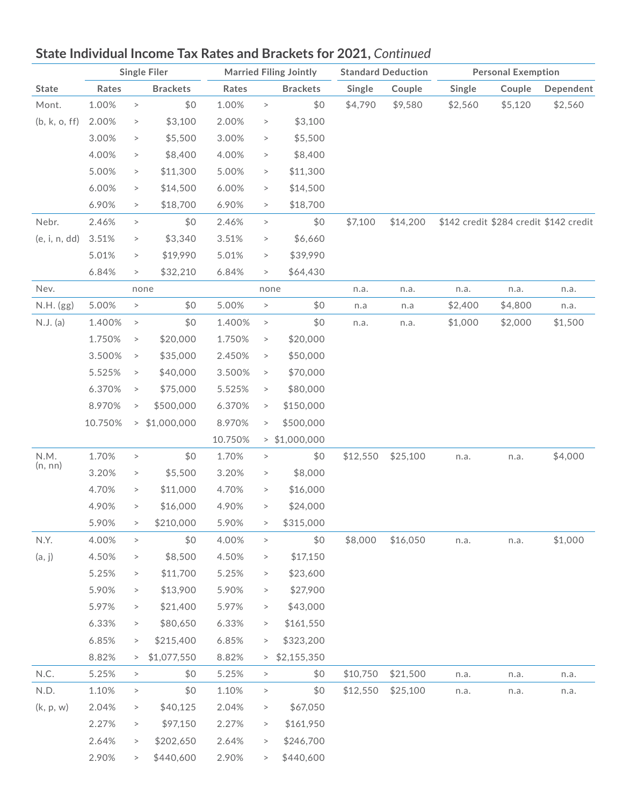

|               | <b>Single Filer</b> |        |                 | <b>Married Filing Jointly</b> |          |                 | <b>Standard Deduction</b> |          | <b>Personal Exemption</b> |         |                                        |
|---------------|---------------------|--------|-----------------|-------------------------------|----------|-----------------|---------------------------|----------|---------------------------|---------|----------------------------------------|
| <b>State</b>  | Rates               |        | <b>Brackets</b> | Rates                         |          | <b>Brackets</b> | Single                    | Couple   | Single                    | Couple  | Dependent                              |
| Mont.         | 1.00%               | $\, >$ | \$0             | 1.00%                         | $\,>$    | \$0             | \$4,790                   | \$9,580  | \$2,560                   | \$5,120 | \$2,560                                |
| (b, k, o, ff) | 2.00%               | $\, >$ | \$3,100         | 2.00%                         | $\,>$    | \$3,100         |                           |          |                           |         |                                        |
|               | 3.00%               | $\, >$ | \$5,500         | 3.00%                         | $\rm{>}$ | \$5,500         |                           |          |                           |         |                                        |
|               | 4.00%               | $\, >$ | \$8,400         | 4.00%                         | $\,>$    | \$8,400         |                           |          |                           |         |                                        |
|               | 5.00%               | $\, >$ | \$11,300        | 5.00%                         | $\, >$   | \$11,300        |                           |          |                           |         |                                        |
|               | 6.00%               | $\, >$ | \$14,500        | 6.00%                         | $\, >$   | \$14,500        |                           |          |                           |         |                                        |
|               | 6.90%               | $\,>$  | \$18,700        | 6.90%                         | $\, >$   | \$18,700        |                           |          |                           |         |                                        |
| Nebr.         | 2.46%               | $\, >$ | \$0             | 2.46%                         | $\, >$   | \$0             | \$7,100                   | \$14,200 |                           |         | \$142 credit \$284 credit \$142 credit |
| (e, i, n, dd) | 3.51%               | $\, >$ | \$3,340         | 3.51%                         | $\,>$    | \$6,660         |                           |          |                           |         |                                        |
|               | 5.01%               | $\,>$  | \$19,990        | 5.01%                         | $\,>$    | \$39,990        |                           |          |                           |         |                                        |
|               | 6.84%               | $\,>$  | \$32,210        | 6.84%                         | $\, >$   | \$64,430        |                           |          |                           |         |                                        |
| Nev.          |                     |        | none            |                               | none     |                 | n.a.                      | n.a.     | n.a.                      | n.a.    | n.a.                                   |
| N.H. (gg)     | 5.00%               | $\,$   | \$0             | 5.00%                         | $\,>$    | \$0             | n.a                       | n.a      | \$2,400                   | \$4,800 | n.a.                                   |
| N.J. (a)      | 1.400%              | $\, >$ | \$0             | 1.400%                        | $\, >$   | \$0             | n.a.                      | n.a.     | \$1,000                   | \$2,000 | \$1,500                                |
|               | 1.750%              | $\, >$ | \$20,000        | 1.750%                        | $\, >$   | \$20,000        |                           |          |                           |         |                                        |
|               | 3.500%              | $\, >$ | \$35,000        | 2.450%                        | $\, >$   | \$50,000        |                           |          |                           |         |                                        |
|               | 5.525%              | $\,>$  | \$40,000        | 3.500%                        | $\,>$    | \$70,000        |                           |          |                           |         |                                        |
|               | 6.370%              | $\,>$  | \$75,000        | 5.525%                        | $\, >$   | \$80,000        |                           |          |                           |         |                                        |
|               | 8.970%              | $\,>$  | \$500,000       | 6.370%                        | $\, >$   | \$150,000       |                           |          |                           |         |                                        |
|               | 10.750%             |        | 51,000,000      | 8.970%                        | $\, >$   | \$500,000       |                           |          |                           |         |                                        |
|               |                     |        |                 | 10.750%                       |          | $>$ \$1,000,000 |                           |          |                           |         |                                        |
| N.M.          | 1.70%               | $\, >$ | \$0             | 1.70%                         | $\,>$    | \$0             | \$12,550                  | \$25,100 | n.a.                      | n.a.    | \$4,000                                |
| (n, nn)       | 3.20%               | $\, >$ | \$5,500         | 3.20%                         | $\,>$    | \$8,000         |                           |          |                           |         |                                        |
|               | 4.70%               | $\, >$ | \$11,000        | 4.70%                         | $\, >$   | \$16,000        |                           |          |                           |         |                                        |
|               | 4.90%               | $\,>$  | \$16,000        | 4.90%                         | $\, >$   | \$24,000        |                           |          |                           |         |                                        |
|               | 5.90%               | $\,>$  | \$210,000       | 5.90%                         | $\,>$    | \$315,000       |                           |          |                           |         |                                        |
| N.Y.          | 4.00%               | $\,>$  | \$0             | 4.00%                         | $\, >$   | \$0             | \$8,000                   | \$16,050 | n.a.                      | n.a.    | \$1,000                                |
| (a, j)        | 4.50%               | $\, >$ | \$8,500         | 4.50%                         | $\,>$    | \$17,150        |                           |          |                           |         |                                        |
|               | 5.25%               | $\, >$ | \$11,700        | 5.25%                         | >        | \$23,600        |                           |          |                           |         |                                        |
|               | 5.90%               | $\,>$  | \$13,900        | 5.90%                         | >        | \$27,900        |                           |          |                           |         |                                        |
|               | 5.97%               | $\, >$ | \$21,400        | 5.97%                         | >        | \$43,000        |                           |          |                           |         |                                        |
|               | 6.33%               | $\,>$  | \$80,650        | 6.33%                         | >        | \$161,550       |                           |          |                           |         |                                        |
|               | 6.85%               | $\, >$ | \$215,400       | 6.85%                         | $\, >$   | \$323,200       |                           |          |                           |         |                                        |
|               | 8.82%               | >      | \$1,077,550     | 8.82%                         | >        | \$2,155,350     |                           |          |                           |         |                                        |
| N.C.          | 5.25%               | $\,$   | \$0             | 5.25%                         | $\, >$   | \$0             | \$10,750                  | \$21,500 | n.a.                      | n.a.    | n.a.                                   |
| N.D.          | 1.10%               | $\,>$  | \$0             | 1.10%                         | $\,>$    | \$0             | \$12,550                  | \$25,100 | n.a.                      | n.a.    | n.a.                                   |
| (k, p, w)     | 2.04%               | $\,>$  | \$40,125        | 2.04%                         | >        | \$67,050        |                           |          |                           |         |                                        |
|               | 2.27%               | $\,>$  | \$97,150        | 2.27%                         | >        | \$161,950       |                           |          |                           |         |                                        |
|               | 2.64%               | $\,>$  | \$202,650       | 2.64%                         | $\, >$   | \$246,700       |                           |          |                           |         |                                        |
|               | 2.90%               | >      | \$440,600       | 2.90%                         | >        | \$440,600       |                           |          |                           |         |                                        |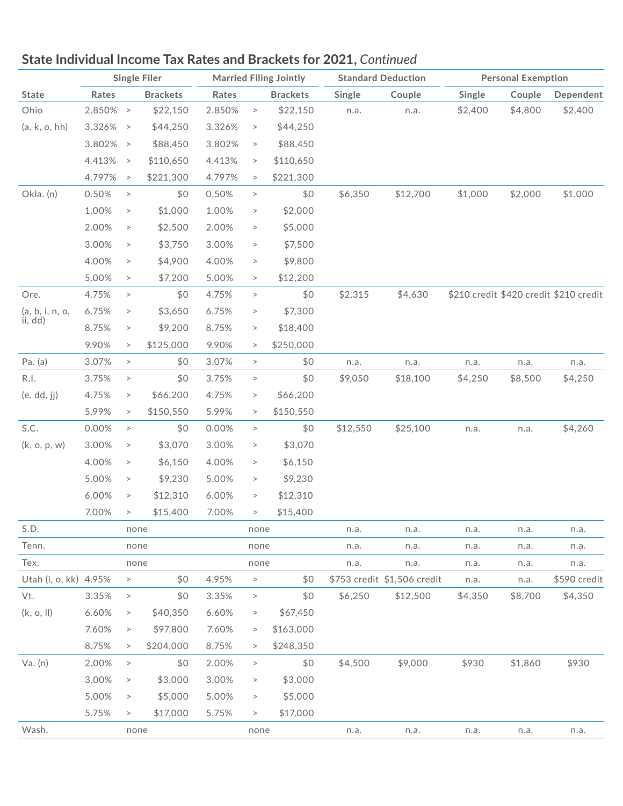

|                       |             |               | <b>Single Filer</b> |        |        | <b>Married Filing Jointly</b> |          | <b>Standard Deduction</b>   | <b>Personal Exemption</b> |         |                                        |
|-----------------------|-------------|---------------|---------------------|--------|--------|-------------------------------|----------|-----------------------------|---------------------------|---------|----------------------------------------|
| <b>State</b>          | Rates       |               | <b>Brackets</b>     | Rates  |        | <b>Brackets</b>               | Single   | Couple                      | Single                    | Couple  | Dependent                              |
| Ohio                  | 2.850% >    |               | \$22,150            | 2.850% | $\, >$ | \$22,150                      | n.a.     | n.a.                        | \$2,400                   | \$4,800 | \$2,400                                |
| (a, k, o, hh)         | $3.326\% >$ |               | \$44,250            | 3.326% | $\, >$ | \$44,250                      |          |                             |                           |         |                                        |
|                       | $3.802\% >$ |               | \$88,450            | 3.802% | $\, >$ | \$88,450                      |          |                             |                           |         |                                        |
|                       | 4.413%      | $\rightarrow$ | \$110,650           | 4.413% | $\, >$ | \$110,650                     |          |                             |                           |         |                                        |
|                       | 4.797%      | $\rightarrow$ | \$221,300           | 4.797% | $\, >$ | \$221,300                     |          |                             |                           |         |                                        |
| Okla. (n)             | 0.50%       | $\, >$        | \$0                 | 0.50%  | $\, >$ | \$0                           | \$6,350  | \$12,700                    | \$1,000                   | \$2,000 | \$1,000                                |
|                       | 1.00%       | $\, >$        | \$1,000             | 1.00%  | $\, >$ | \$2,000                       |          |                             |                           |         |                                        |
|                       | 2.00%       | $\, >$        | \$2,500             | 2.00%  | $\, >$ | \$5,000                       |          |                             |                           |         |                                        |
|                       | 3.00%       | $\, >$        | \$3,750             | 3.00%  | $\, >$ | \$7,500                       |          |                             |                           |         |                                        |
|                       | 4.00%       | $\, >$        | \$4,900             | 4.00%  | $\, >$ | \$9,800                       |          |                             |                           |         |                                        |
|                       | 5.00%       | $\,>$         | \$7,200             | 5.00%  | $\, >$ | \$12,200                      |          |                             |                           |         |                                        |
| Ore.                  | 4.75%       | $\, >$        | \$0                 | 4.75%  | $\, >$ | \$0                           | \$2,315  | \$4,630                     |                           |         | \$210 credit \$420 credit \$210 credit |
| (a, b, i, n, o,       | 6.75%       | $\, >$        | \$3,650             | 6.75%  | $\, >$ | \$7,300                       |          |                             |                           |         |                                        |
| ii, dd)               | 8.75%       | $\, >$        | \$9,200             | 8.75%  | $\, >$ | \$18,400                      |          |                             |                           |         |                                        |
|                       | 9.90%       | $\,>$         | \$125,000           | 9.90%  | $\, >$ | \$250,000                     |          |                             |                           |         |                                        |
| Pa. (a)               | 3.07%       | $\, >$        | \$0                 | 3.07%  | $\, >$ | \$0                           | n.a.     | n.a.                        | n.a.                      | n.a.    | n.a.                                   |
| R.I.                  | 3.75%       | $\, >$        | \$0                 | 3.75%  | $\, >$ | \$0                           | \$9,050  | \$18,100                    | \$4,250                   | \$8,500 | \$4,250                                |
| (e, dd, jj)           | 4.75%       | $\,>$         | \$66,200            | 4.75%  | $\, >$ | \$66,200                      |          |                             |                           |         |                                        |
|                       | 5.99%       | $\,>$         | \$150,550           | 5.99%  | $\, >$ | \$150,550                     |          |                             |                           |         |                                        |
| S.C.                  | 0.00%       | $\, >$        | \$0                 | 0.00%  | $\, >$ | \$0                           | \$12,550 | \$25,100                    | n.a.                      | n.a.    | \$4,260                                |
| (k, o, p, w)          | 3.00%       | $\,>$         | \$3,070             | 3.00%  | $\, >$ | \$3,070                       |          |                             |                           |         |                                        |
|                       | 4.00%       | $\, >$        | \$6,150             | 4.00%  | $\, >$ | \$6,150                       |          |                             |                           |         |                                        |
|                       | 5.00%       | $\,>$         | \$9,230             | 5.00%  | $\, >$ | \$9,230                       |          |                             |                           |         |                                        |
|                       | 6.00%       | $\, >$        | \$12,310            | 6.00%  | $\, >$ | \$12,310                      |          |                             |                           |         |                                        |
|                       | 7.00%       | $\,>$         | \$15,400            | 7.00%  | $\, >$ | \$15,400                      |          |                             |                           |         |                                        |
| S.D.                  |             | none          |                     |        | none   |                               | n.a.     | n.a.                        | n.a.                      | n.a.    | n.a.                                   |
| Tenn.                 |             | none          |                     |        | none   |                               | n.a.     | n.a.                        | n.a.                      | n.a.    | n.a.                                   |
| Tex.                  |             | none          |                     |        | none   |                               | n.a.     | n.a.                        | n.a.                      | n.a.    | n.a.                                   |
| Utah (i, o, kk) 4.95% |             | $\,>$         | \$0                 | 4.95%  | $\, >$ | \$0                           |          | \$753 credit \$1,506 credit | n.a.                      | n.a.    | \$590 credit                           |
| Vt.                   | 3.35%       | $\, >$        | \$0                 | 3.35%  | $\, >$ | \$0                           | \$6,250  | \$12,500                    | \$4,350                   | \$8,700 | \$4,350                                |
| (k, o, ll)            | 6.60%       | $\, >$        | \$40,350            | 6.60%  | $\, >$ | \$67,450                      |          |                             |                           |         |                                        |
|                       | 7.60%       | $\, >$        | \$97,800            | 7.60%  | $\, >$ | \$163,000                     |          |                             |                           |         |                                        |
|                       | 8.75%       | $\, >$        | \$204,000           | 8.75%  | $\, >$ | \$248,350                     |          |                             |                           |         |                                        |
| Va. (n)               | 2.00%       | $\, >$        | \$0                 | 2.00%  | $\, >$ | \$0                           | \$4,500  | \$9,000                     | \$930                     | \$1,860 | \$930                                  |
|                       | 3.00%       | $\, >$        | \$3,000             | 3.00%  | $\,>$  | \$3,000                       |          |                             |                           |         |                                        |
|                       | 5.00%       | $\, >$        | \$5,000             | 5.00%  | $\, >$ | \$5,000                       |          |                             |                           |         |                                        |
|                       | 5.75%       | $\, >$        | \$17,000            | 5.75%  | $\, >$ | \$17,000                      |          |                             |                           |         |                                        |
| Wash.                 |             | none          |                     |        | none   |                               | n.a.     | n.a.                        | n.a.                      | n.a.    | n.a.                                   |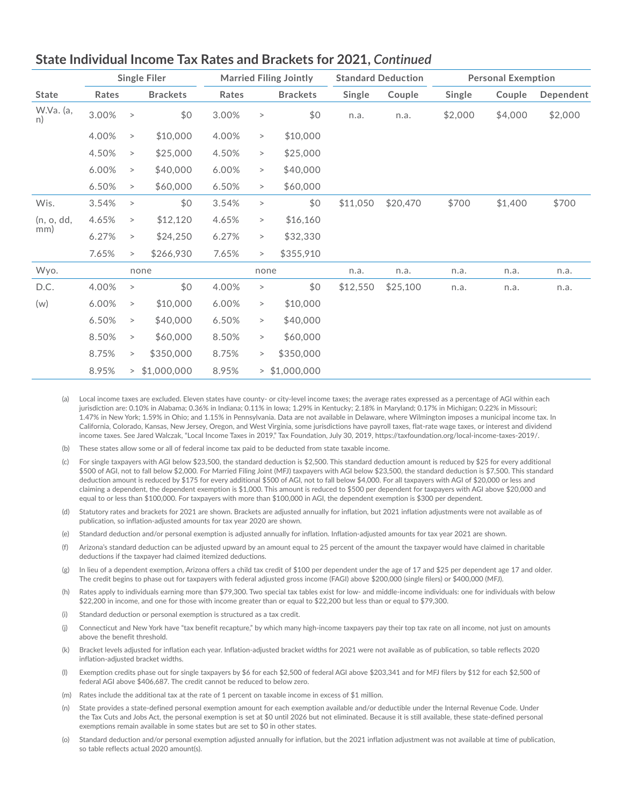

|                 | <b>Single Filer</b> |          |                 | <b>Married Filing Jointly</b> |           |                 | <b>Standard Deduction</b> |          | <b>Personal Exemption</b> |         |           |
|-----------------|---------------------|----------|-----------------|-------------------------------|-----------|-----------------|---------------------------|----------|---------------------------|---------|-----------|
| <b>State</b>    | Rates               |          | <b>Brackets</b> | Rates                         |           | <b>Brackets</b> | Single                    | Couple   | Single                    | Couple  | Dependent |
| W.Va. (a,<br>n) | 3.00%               | $\, >$   | \$0             | 3.00%                         | $\, >$    | \$0             | n.a.                      | n.a.     | \$2,000                   | \$4,000 | \$2,000   |
|                 | 4.00%               | $\rm{>}$ | \$10,000        | 4.00%                         | $\,>$     | \$10,000        |                           |          |                           |         |           |
|                 | 4.50%               | $\,>$    | \$25,000        | 4.50%                         | $\, >$    | \$25,000        |                           |          |                           |         |           |
|                 | 6.00%               | $\,>$    | \$40,000        | 6.00%                         | $\, >$    | \$40,000        |                           |          |                           |         |           |
|                 | 6.50%               | $\, >$   | \$60,000        | 6.50%                         | $\,>$     | \$60,000        |                           |          |                           |         |           |
| Wis.            | 3.54%               | $\, >$   | \$0             | 3.54%                         | $\, >$    | \$0             | \$11,050                  | \$20,470 | \$700                     | \$1,400 | \$700     |
| (n, o, dd,      | 4.65%               | $\, >$   | \$12,120        | 4.65%                         | $\,>$     | \$16,160        |                           |          |                           |         |           |
| mm)             | 6.27%               | $\, >$   | \$24,250        | 6.27%                         | $\,>$     | \$32,330        |                           |          |                           |         |           |
|                 | 7.65%               | $\, >$   | \$266,930       | 7.65%                         | $\,>$     | \$355,910       |                           |          |                           |         |           |
| Wyo.            | none                |          | none            |                               | n.a.      | n.a.            | n.a.                      | n.a.     | n.a.                      |         |           |
| D.C.            | 4.00%               | $\, >$   | \$0             | 4.00%                         | $\, >$    | \$0             | \$12,550                  | \$25,100 | n.a.                      | n.a.    | n.a.      |
| (w)             | 6.00%               | $\, >$   | \$10,000        | 6.00%                         | $\, > \,$ | \$10,000        |                           |          |                           |         |           |
|                 | 6.50%               | $\, >$   | \$40,000        | 6.50%                         | >         | \$40,000        |                           |          |                           |         |           |
|                 | 8.50%               | $\, >$   | \$60,000        | 8.50%                         | >         | \$60,000        |                           |          |                           |         |           |
|                 | 8.75%               | $\, >$   | \$350,000       | 8.75%                         | >         | \$350,000       |                           |          |                           |         |           |
|                 | 8.95%               | >        | \$1,000,000     | 8.95%                         |           | $>$ \$1,000,000 |                           |          |                           |         |           |

- (a) Local income taxes are excluded. Eleven states have county- or city-level income taxes; the average rates expressed as a percentage of AGI within each jurisdiction are: 0.10% in Alabama; 0.36% in Indiana; 0.11% in Iowa; 1.29% in Kentucky; 2.18% in Maryland; 0.17% in Michigan; 0.22% in Missouri; 1.47% in New York; 1.59% in Ohio; and 1.15% in Pennsylvania. Data are not available in Delaware, where Wilmington imposes a municipal income tax. In California, Colorado, Kansas, New Jersey, Oregon, and West Virginia, some jurisdictions have payroll taxes, flat-rate wage taxes, or interest and dividend income taxes. See Jared Walczak, "Local Income Taxes in 2019," Tax Foundation, July 30, 2019, https://taxfoundation.org/local-income-taxes-2019/.
- (b) These states allow some or all of federal income tax paid to be deducted from state taxable income.
- (c) For single taxpayers with AGI below \$23,500, the standard deduction is \$2,500. This standard deduction amount is reduced by \$25 for every additional \$500 of AGI, not to fall below \$2,000. For Married Filing Joint (MFJ) taxpayers with AGI below \$23,500, the standard deduction is \$7,500. This standard deduction amount is reduced by \$175 for every additional \$500 of AGI, not to fall below \$4,000. For all taxpayers with AGI of \$20,000 or less and claiming a dependent, the dependent exemption is \$1,000. This amount is reduced to \$500 per dependent for taxpayers with AGI above \$20,000 and equal to or less than \$100,000. For taxpayers with more than \$100,000 in AGI, the dependent exemption is \$300 per dependent.
- (d) Statutory rates and brackets for 2021 are shown. Brackets are adjusted annually for inflation, but 2021 inflation adjustments were not available as of publication, so inflation-adjusted amounts for tax year 2020 are shown.
- (e) Standard deduction and/or personal exemption is adjusted annually for inflation. Inflation-adjusted amounts for tax year 2021 are shown.
- (f) Arizona's standard deduction can be adjusted upward by an amount equal to 25 percent of the amount the taxpayer would have claimed in charitable deductions if the taxpayer had claimed itemized deductions.
- (g) In lieu of a dependent exemption, Arizona offers a child tax credit of \$100 per dependent under the age of 17 and \$25 per dependent age 17 and older. The credit begins to phase out for taxpayers with federal adjusted gross income (FAGI) above \$200,000 (single filers) or \$400,000 (MFJ).
- (h) Rates apply to individuals earning more than \$79,300. Two special tax tables exist for low- and middle-income individuals: one for individuals with below \$22,200 in income, and one for those with income greater than or equal to \$22,200 but less than or equal to \$79,300.
- (i) Standard deduction or personal exemption is structured as a tax credit.
- (j) Connecticut and New York have "tax benefit recapture," by which many high-income taxpayers pay their top tax rate on all income, not just on amounts above the benefit threshold.
- (k) Bracket levels adjusted for inflation each year. Inflation-adjusted bracket widths for 2021 were not available as of publication, so table reflects 2020 inflation-adjusted bracket widths.
- (l) Exemption credits phase out for single taxpayers by \$6 for each \$2,500 of federal AGI above \$203,341 and for MFJ filers by \$12 for each \$2,500 of federal AGI above \$406,687. The credit cannot be reduced to below zero.
- (m) Rates include the additional tax at the rate of 1 percent on taxable income in excess of \$1 million.
- (n) State provides a state-defined personal exemption amount for each exemption available and/or deductible under the Internal Revenue Code. Under the Tax Cuts and Jobs Act, the personal exemption is set at \$0 until 2026 but not eliminated. Because it is still available, these state-defined personal exemptions remain available in some states but are set to \$0 in other states.
- (o) Standard deduction and/or personal exemption adjusted annually for inflation, but the 2021 inflation adjustment was not available at time of publication, so table reflects actual 2020 amount(s).